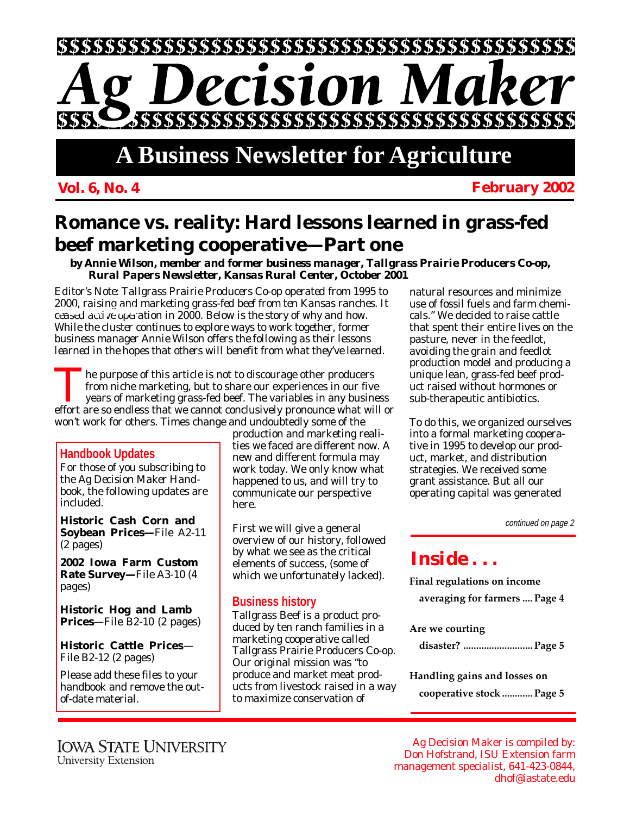

# **A Business Newsletter for Agriculture**

#### **Vol. 6, No. 4 February 2002**

## **Romance vs. reality: Hard lessons learned in grass-fed beef marketing cooperative—Part one**

*by Annie Wilson, member and former business manager, Tallgrass Prairie Producers Co-op, Rural Papers Newsletter, Kansas Rural Center, October 2001*

*Editor's Note: Tallgrass Prairie Producers Co-op operated from 1995 to 2000, raising and marketing grass-fed beef from ten Kansas ranches. It ceased active operation in 2000. Below is the story of why and how. While the cluster continues to explore ways to work together, former business manager Annie Wilson offers the following as their lessons learned in the hopes that others will benefit from what they've learned.*

The purpose of this article is not to discourage other producers<br>from niche marketing, but to share our experiences in our fiv-<br>years of marketing grass-fed beef. The variables in any busin<br>effort are so endless that we ca from niche marketing, but to share our experiences in our five years of marketing grass-fed beef. The variables in any business effort are so endless that we cannot conclusively pronounce what will or won't work for others. Times change and undoubtedly some of the

#### **Handbook Updates**

For those of you subscribing to the *Ag Decision Maker Handbook*, the following updates are included.

**Historic Cash Corn and Soybean Prices—**File A2-11 (2 pages)

**2002 Iowa Farm Custom Rate Survey—**File A3-10 (4 pages)

**Historic Hog and Lamb Prices**—File B2-10 (2 pages)

**Historic Cattle Prices**— File B2-12 (2 pages)

Please add these files to your handbook and remove the outof-date material.

production and marketing realities we faced are different now. A new and different formula may work today. We only know what happened to us, and will try to communicate our perspective here.

First we will give a general overview of our history, followed by what we see as the critical elements of success, (some of which we unfortunately lacked).

#### **Business history**

Tallgrass Beef is a product produced by ten ranch families in a marketing cooperative called Tallgrass Prairie Producers Co-op. Our original mission was "to produce and market meat products from livestock raised in a way to maximize conservation of

natural resources and minimize use of fossil fuels and farm chemicals." We decided to raise cattle that spent their entire lives on the pasture, never in the feedlot, avoiding the grain and feedlot production model and producing a unique lean, grass-fed beef product raised without hormones or sub-therapeutic antibiotics.

To do this, we organized ourselves into a formal marketing cooperative in 1995 to develop our product, market, and distribution strategies. We received some grant assistance. But all our operating capital was generated

continued on page 2

### *Inside . . .*

**Final regulations on income**

**averaging for farmers .... Page 4**

**Are we courting**

**disaster? ........................... Page 5**

**Handling gains and losses on**

**cooperative stock ............ Page 5**

Ag Decision Maker is compiled by: Don Hofstrand, ISU Extension farm management specialist, 641-423-0844, dhof@iastate.edu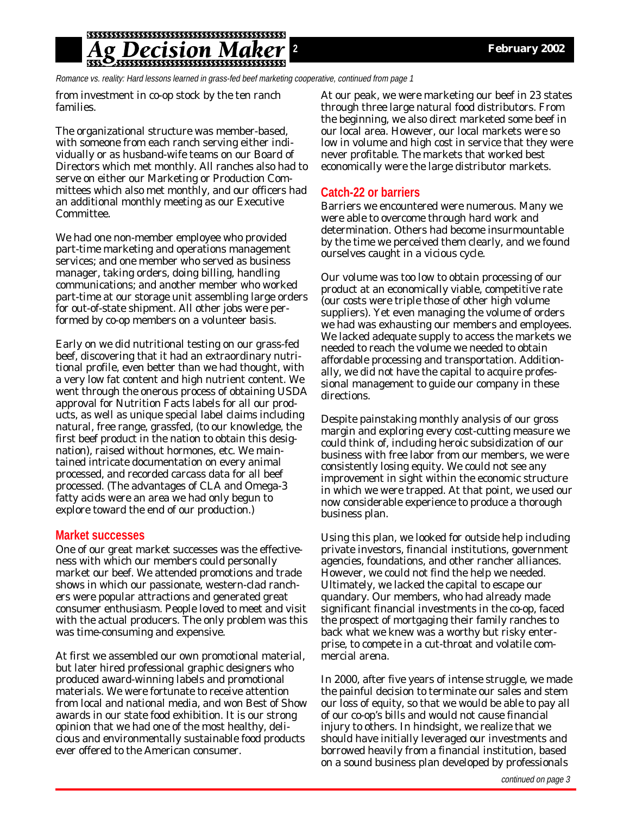### *ecision*

Romance vs. reality: Hard lessons learned in grass-fed beef marketing cooperative, continued from page 1

from investment in co-op stock by the ten ranch families.

The organizational structure was member-based, with someone from each ranch serving either individually or as husband-wife teams on our Board of Directors which met monthly. All ranches also had to serve on either our Marketing or Production Committees which also met monthly, and our officers had an additional monthly meeting as our Executive Committee.

We had one non-member employee who provided part-time marketing and operations management services; and one member who served as business manager, taking orders, doing billing, handling communications; and another member who worked part-time at our storage unit assembling large orders for out-of-state shipment. All other jobs were performed by co-op members on a volunteer basis.

Early on we did nutritional testing on our grass-fed beef, discovering that it had an extraordinary nutritional profile, even better than we had thought, with a very low fat content and high nutrient content. We went through the onerous process of obtaining USDA approval for Nutrition Facts labels for all our products, as well as unique special label claims including natural, free range, grassfed, (to our knowledge, the first beef product in the nation to obtain this designation), raised without hormones, etc. We maintained intricate documentation on every animal processed, and recorded carcass data for all beef processed. (The advantages of CLA and Omega-3 fatty acids were an area we had only begun to explore toward the end of our production.)

#### **Market successes**

One of our great market successes was the effectiveness with which our members could personally market our beef. We attended promotions and trade shows in which our passionate, western-clad ranchers were popular attractions and generated great consumer enthusiasm. People loved to meet and visit with the actual producers. The only problem was this was time-consuming and expensive.

At first we assembled our own promotional material, but later hired professional graphic designers who produced award-winning labels and promotional materials. We were fortunate to receive attention from local and national media, and won Best of Show awards in our state food exhibition. It is our strong opinion that we had one of the most healthy, delicious and environmentally sustainable food products ever offered to the American consumer.

At our peak, we were marketing our beef in 23 states through three large natural food distributors. From the beginning, we also direct marketed some beef in our local area. However, our local markets were so low in volume and high cost in service that they were never profitable. The markets that worked best economically were the large distributor markets.

#### **Catch-22 or barriers**

Barriers we encountered were numerous. Many we were able to overcome through hard work and determination. Others had become insurmountable by the time we perceived them clearly, and we found ourselves caught in a vicious cycle.

Our volume was too low to obtain processing of our product at an economically viable, competitive rate (our costs were triple those of other high volume suppliers). Yet even managing the volume of orders we had was exhausting our members and employees. We lacked adequate supply to access the markets we needed to reach the volume we needed to obtain affordable processing and transportation. Additionally, we did not have the capital to acquire professional management to guide our company in these directions.

Despite painstaking monthly analysis of our gross margin and exploring every cost-cutting measure we could think of, including heroic subsidization of our business with free labor from our members, we were consistently losing equity. We could not see any improvement in sight within the economic structure in which we were trapped. At that point, we used our now considerable experience to produce a thorough business plan.

Using this plan, we looked for outside help including private investors, financial institutions, government agencies, foundations, and other rancher alliances. However, we could not find the help we needed. Ultimately, we lacked the capital to escape our quandary. Our members, who had already made significant financial investments in the co-op, faced the prospect of mortgaging their family ranches to back what we knew was a worthy but risky enterprise, to compete in a cut-throat and volatile commercial arena.

In 2000, after five years of intense struggle, we made the painful decision to terminate our sales and stem our loss of equity, so that we would be able to pay all of our co-op's bills and would not cause financial injury to others. In hindsight, we realize that we should have initially leveraged our investments and borrowed heavily from a financial institution, based on a sound business plan developed by professionals